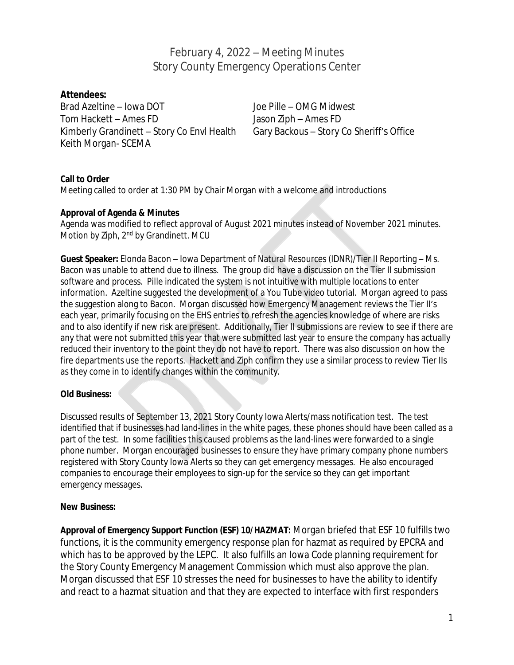February 4, 2022 – Meeting Minutes Story County Emergency Operations Center

### **Attendees:**

Brad Azeltine – Iowa DOT Joe Pille – OMG Midwest Tom Hackett – Ames FD Jason Ziph – Ames FD Kimberly Grandinett – Story Co Envl Health Gary Backous – Story Co Sheriff's Office Keith Morgan- SCEMA

#### **Call to Order**

Meeting called to order at 1:30 PM by Chair Morgan with a welcome and introductions

#### **Approval of Agenda & Minutes**

Agenda was modified to reflect approval of August 2021 minutes instead of November 2021 minutes. Motion by Ziph, 2<sup>nd</sup> by Grandinett. MCU

**Guest Speaker:** Elonda Bacon – Iowa Department of Natural Resources (IDNR)/Tier II Reporting – Ms. Bacon was unable to attend due to illness. The group did have a discussion on the Tier II submission software and process. Pille indicated the system is not intuitive with multiple locations to enter information. Azeltine suggested the development of a You Tube video tutorial. Morgan agreed to pass the suggestion along to Bacon. Morgan discussed how Emergency Management reviews the Tier II's each year, primarily focusing on the EHS entries to refresh the agencies knowledge of where are risks and to also identify if new risk are present. Additionally, Tier II submissions are review to see if there are any that were not submitted this year that were submitted last year to ensure the company has actually reduced their inventory to the point they do not have to report. There was also discussion on how the fire departments use the reports. Hackett and Ziph confirm they use a similar process to review Tier IIs as they come in to identify changes within the community.

#### **Old Business:**

Discussed results of September 13, 2021 Story County Iowa Alerts/mass notification test. The test identified that if businesses had land-lines in the white pages, these phones should have been called as a part of the test. In some facilities this caused problems as the land-lines were forwarded to a single phone number. Morgan encouraged businesses to ensure they have primary company phone numbers registered with Story County Iowa Alerts so they can get emergency messages. He also encouraged companies to encourage their employees to sign-up for the service so they can get important emergency messages.

#### **New Business:**

**Approval of Emergency Support Function (ESF) 10/HAZMAT:** Morgan briefed that ESF 10 fulfills two functions, it is the community emergency response plan for hazmat as required by EPCRA and which has to be approved by the LEPC. It also fulfills an Iowa Code planning requirement for the Story County Emergency Management Commission which must also approve the plan. Morgan discussed that ESF 10 stresses the need for businesses to have the ability to identify and react to a hazmat situation and that they are expected to interface with first responders